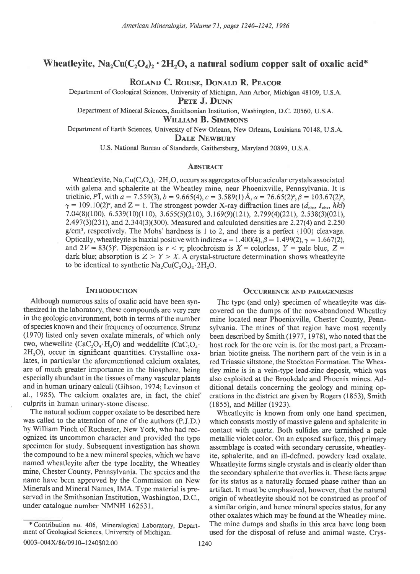# Wheatleyite,  $Na_2Cu(C_2O_4)$ , 2H<sub>2</sub>O, a natural sodium copper salt of oxalic acid<sup>\*</sup>

ROLAND C. ROUSE, DONALD R. PEACOR

Department of Geological Sciences, University of Michigan, Ann Arbor, Michigan 48109, U.S.A.

PETE J. DUNN

Department of Mineral Sciences, Smithsonian Institution, Washington, D.C. 20560, U.S.A.

William B. Simmons

Department of Earth Sciences, University of New Orleans, New Orleans, Louisiana 70148, U.S.A. DALE NEWBURY

U.S. National Bureau of Standards, Gaithersburg, Maryland 20899, U.S.A.

### **ABSTRACT**

Wheatleyite,  $\text{Na}_2\text{Cu}(C_2\text{O}_4)_2 \cdot 2\text{H}_2\text{O}$ , occurs as aggregates of blue acicular crystals associated with galena and sphalerite at the Wheatley mine, near Phoenixville, Pennsylvania. It is triclinic, PI, with  $a = 7.559(3)$ ,  $b = 9.665(4)$ ,  $c = 3.589(1)$  Å,  $\alpha = 76.65(2)$ °,  $\beta = 103.67(2)$ °,  $\gamma = 109.10(2)$ °, and Z = 1. The strongest powder X-ray diffraction lines are ( $d_{obs}$ ,  $I_{obs}$ , hkl) 7.04(8)(100), 6.539(10)(110), 3.655(5)(210), 3.169(9)(121), 2.799(4)(221), 2.538(3)(021),  $2.497(3)(231)$ , and  $2.344(3)(300)$ . Measured and calculated densities are  $2.27(4)$  and  $2.250$  $g/cm<sup>3</sup>$ , respectively. The Mohs' hardness is 1 to 2, and there is a perfect {100} cleavage. Optically, wheatley ite is biaxial positive with indices  $\alpha = 1.400(4)$ ,  $\beta = 1.499(2)$ ,  $\gamma = 1.667(2)$ , and  $2V = 83(5)$ °. Dispersion is  $r < v$ ; pleochroism is  $X =$  colorless,  $Y =$  pale blue,  $Z =$ dark blue; absorption is  $Z > Y > X$ . A crystal-structure determination shows wheatleyite to be identical to synthetic  $Na_2Cu(C_2O_4)_2.2H_2O$ .

## **INTRODUCTION**

Although numerous salts of oxalic acid have been synthesized in the laboratory, these compounds are very rare in the geologic environment, both in terms of the number of species known and their frequency of occurrence. Strunz (1970) listed only seven oxalate minerals, of which only two, whewellite  $(CaC_2O_4 \cdot H_2O)$  and weddellite  $(CaC_2O_4 \cdot H_2O)$  $2H<sub>2</sub>O$ ), occur in significant quantities. Crystalline oxalates, in particular the aforementioned calcium oxalates, are of much greater importance in the biosphere, being especially abundant in the tissues of many vascular plants and in human urinary calculi (Gibson, 1974; Levinson et al., 1985). The calcium oxalates are, in fact, the chief culprits in human urinary-stone disease.

The natural sodium copper oxalate to be described here was called to the attention of one of the authors (P.J.D.) by William Pinch of Rochester, New York, who had recognized its uncommon character and provided the type specimen for study. Subsequent investigation has shown the compound to be a new mineral species, which we have named wheatleyite after the type locality, the Wheatley mine, Chester County, Pennsylvania. The species and the name have been approved by the Commission on New Minerals and Mineral Names, IMA. Type material is preserved in the Smithsonian Institution, Washington, D.C., under catalogue number NMNH 162531.

# **OCCURRENCE AND PARAGENESIS**

The type (and only) specimen of wheatleyite was discovered on the dumps of the now-abandoned Wheatley mine located near Phoenixville, Chester County, Pennsylvania. The mines of that region have most recently been described by Smith (1977, 1978), who noted that the host rock for the ore vein is, for the most part, a Precambrian biotite gneiss. The northern part of the vein is in a red Triassic siltstone, the Stockton Formation. The Wheatley mine is in a vein-type lead-zinc deposit, which was also exploited at the Brookdale and Phoenix mines. Additional details concerning the geology and mining operations in the district are given by Rogers (1853), Smith (1855), and Miller (1923).

Wheatleyite is known from only one hand specimen, which consists mostly of massive galena and sphalerite in contact with quartz. Both sulfides are tarnished a pale metallic violet color. On an exposed surface, this primary assemblage is coated with secondary cerussite, wheatleyite, sphalerite, and an ill-defined, powdery lead oxalate. Wheatleyite forms single crystals and is clearly older than the secondary sphalerite that overlies it. These facts argue for its status as a naturally formed phase rather than an artifact. It must be emphasized, however, that the natural origin of wheatleyite should not be construed as proof of a similar origin, and hence mineral species status, for any other oxalates which may be found at the Wheatley mine. The mine dumps and shafts in this area have long been used for the disposal of refuse and animal waste. Crys-

<sup>\*</sup> Contribution no. 406, Mineralogical Laboratory, Department of Geological Sciences, University of Michigan.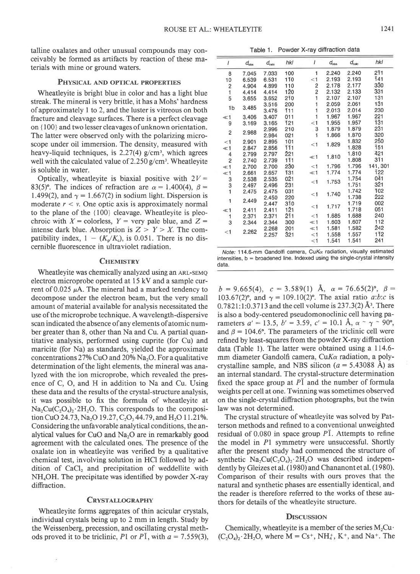talline oxalates and other unusual compounds may conceivably be formed as artifacts by reaction of these materials with mine or ground waters.

#### PHYSICAL AND OPTICAL PROPERTIES

Wheatleyite is bright blue in color and has a light blue streak. The mineral is very brittle, it has a Mohs'hardness of approximately I to 2, and the luster is vitreous on both fracture and cleavage surfaces. There is a perfect cleavage on {100} and two lesser cleavages of unknown orientation. The latter were observed only with the polarizing microscope under oil immersion. The density, measured with heavy-liquid techniques, is  $2.27(4)$  g/cm<sup>3</sup>, which agrees well with the calculated value of  $2.250$  g/cm<sup>3</sup>. Wheatleyite is soluble in water.

Optically, wheatleyite is biaxial positive with  $2V =$ 83(5)°. The indices of refraction are  $\alpha = 1.400(4)$ ,  $\beta =$ 1.499(2), and  $\gamma = 1.667(2)$  in sodium light. Dispersion is moderate  $r < v$ . One optic axis is approximately normal to the plane of the {100} cleavage. Wheatleyite is pleochroic with  $X =$  colorless,  $Y =$  very pale blue, and  $Z =$ intense dark blue. Absorption is  $Z > Y > X$ . The compatibility index,  $1 - (K_p/K_c)$ , is 0.051. There is no discernible fluorescence in ultraviolet radiation.

### **CHEMISTRY**

Wheatleyite was chemically analyzed using an ARL-SEMQ electron microprobe operated at 15 kV and a sample current of 0.025  $\mu$ A. The mineral had a marked tendency to decompose under the electron beam, but the very small amount of material available for analysis necessitated the use of the microprobe technique. A wavelength-dispersive scan indicated the absence of any elements of atomic number greater than 8, other than Na and Cu. A partial quantitative analysis, performed using cuprite (for Cu) and maricite (for Na) as standards, yielded the approximate concentrations  $27\%$  CuO and  $20\%$  Na<sub>2</sub>O. For a qualitative determination of the light elements, the mineral was analyzed with the ion microprobe, which revealed the presence of C, O, and H in addition to Na and Cu. Using these data and the results of the crystal-structure analysis, it was possible to fix the formula of wheatleyite at  $Na_2Cu(C_2O_4)$ , 2H<sub>2</sub>O. This corresponds to the composition CuO 24.73, Na<sub>2</sub>O 19.27, C<sub>2</sub>O<sub>3</sub> 44.79, and H<sub>2</sub>O 11.21%. Considering the unfavorable analytical conditions, the analytical values for CuO and  $Na<sub>2</sub>O$  are in remarkably good agreement with the calculated ones. The presence of the oxalate ion in wheatleyite was verified by a qualitative chemical test, involving solution in HCI followed by addition of CaCl, and precipitation of weddellite with NH4OH. The precipitate was identified by powder X-ray diffraction.

### **CRYSTALLOGRAPHY**

Wheatleyite forms aggregates of thin acicular crystals, individual crystals being up to 2 mm in length. Study by the Weissenberg, precession, and oscillating crystal methods proved it to be triclinic, P1 or P1, with  $a = 7.559(3)$ ,

Table 1. Powder X-ray diffraction data

| I              | $d_{\text{obs}}$ | $d_{\rm calc}$ | hkl              | I       | $d_{obs}$ | $d_{\rm calc}$ | hkl         |
|----------------|------------------|----------------|------------------|---------|-----------|----------------|-------------|
| 8              | 7.045            | 7.033          | 100              | 1       | 2.240     | 2.240          | 211         |
| 10             | 6.539            | 6.531          | 110              | < 1     | 2.193     | 2.193          | 141         |
| 2              | 4.904            | 4.899          | 110              | 2       | 2.178     | 2.177          | 330         |
| $\ddagger$     | 4.414            | 4.414          | 120              | 2       | 2.132     | 2.133          | 331         |
| 5              | 3.655            | 3.652          | 210              | 1       | 2.107     | 2.107          | 131         |
| 1 <sub>b</sub> | 3.485            | 3.516          | 200              | 1       | 2.059     | 2.061          | 131         |
|                |                  | 3.476          | <b>111</b>       | 1       | 2.013     | 2.014          | 230         |
| $\ll 1$        | 3.406            | 3.407          | 011              | 1       | 1.967     | 1.967          | 221         |
| 9              | 3.169            | 3.165          | 121              | < 1     | 1.955     | 1.957          | 131         |
| $\overline{2}$ | 2.988            | 2.996          | 210              | 3       | 1.879     | 1.879          | $2\bar{3}1$ |
|                |                  | 2.984          | 021              | 1       | 1.866     | 1.870          | 320         |
| $<$ 1          | 2.901            | 2.895          | 101              | $<$ 1   | 1.829     | 1.832          | 250         |
| $\ll 1$        | 2.847            | 2.856          | 111              |         |           | 1.828          | 151         |
| 4              | 2.799            | 2.797          | 221              | $\ll$ 1 | 1.810     | 1.810          | 421         |
| $\overline{2}$ | 2.740            | 2.739          | $1\overline{1}1$ |         |           | 1.808          | 311         |
| $\ll 1$        | 2.700            | 2.700          | 230              | $<$ 1   | 1.796     | 1.796          | 141, 301    |
| $\ll$ 1        | 2.661            | 2.657          | 131              | $\ll$ 1 | 1.774     | 1.774          | 122         |
| 3              | 2.538            | 2.535          | $0\bar{2}1$      | $<$ 1   | 1.753     | 1.754          | 041         |
| 3              | 2.497            | 2.496          | 231              |         |           | 1.751          | 321         |
| $\mathbf{1}$   | 2.475            | 2.475          | 031              | $<$ 1   | 1.740     | 1.742          | 102         |
| 1              | 2.449            | 2.450          | 220              |         |           | 1.738          | 222         |
|                |                  | 2.447          | 310              | $<$ 1   | 1.717     | 1.719          | 002         |
| $\ll 1$        | 2.411            | 2.411          | 121              |         |           | 1.718          | 051         |
| 1              | 2.371            | 2.371          | 211              | < 1     | 1.685     | 1.688          | 240         |
| 3              | 2.344            | 2.344          | 300              | $\ll$ 1 | 1.603     | 1.607          | 112         |
| $<$ 1          | 2.262            | 2.268          | 201              | $\ll$ 1 | 1.581     | 1.582          | 242         |
|                |                  | 2.257          | 321              | $<$ 1   | 1.558     | 1.557          | 112         |
|                |                  |                |                  | $<$ 1   | 1.541     | 1.541          | 241         |

Note: 114.6-mm Gandolfi camera, CuK $\alpha$  radiation, visually estimated  $intensities, b = broadened line. Indeed using the single-crystal intensity$ data.

 $b=9.665(4)$ ,  $c=3.589(1)$  Å,  $\alpha=76.65(2)$ °,  $\beta=$ 103.67(2)°, and  $\gamma = 109.10(2)$ °. The axial ratio a:b:c is  $0.7821:1:0.3713$  and the cell volume is 237.3(2) Å<sup>3</sup>. There is also a body-centered pseudomonoclinic cell having parameters  $a' = 13.5$ ,  $b' = 3.59$ ,  $c' = 10.1$  Å,  $\alpha \sim \gamma \sim 90^{\circ}$ , and  $\beta = 104.6^{\circ}$ . The parameters of the triclinic cell were refined by least-squares from the powder X-ray diffraction data (Table 1). The latter were obtained using a I14.6 mm diameter Gandolfi camera, CuKa radiation, a polycrystalline sample, and NBS silicon  $(a = 5.43088$  Å) as an internal standard. The crystal-structure determination fixed the space group at  $P\bar{1}$  and the number of formula weights per cell at one. Twinning was sometimes observed on the single-crystal diffraction photographs, but the twin law was not determined.

The crystal structure of wheatleyite was solved by Patterson methods and refined to a conventional unweighted residual of 0.080 in space group PI. Attempts to refine the model in Pl symmetry were unsuccessful. Shortly after the present study had commenced the structure of synthetic  $Na_2Cu(C_2O_4)$ ,  $2H_2O$  was described independently by Gleizes et al. (1980) and Chananont et al. (1980). Comparison of their results with ours proves that the natural and synthetic phases are essentially identical, and the reader is therefore referred to the works of these authors for details of the wheatleyite structure.

### **DISCUSSION**

Chemically, wheatleyite is a member of the series  $M_2Cu$ .  $(C_2O_4)_2$  2H<sub>2</sub>O, where M = Cs<sup>+</sup>, NH<sub>4</sub><sup>+</sup>, K<sup>+</sup>, and Na<sup>+</sup>. The